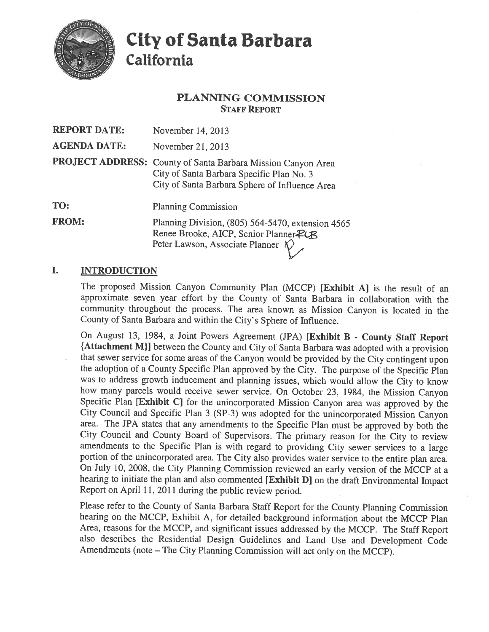

# **City of Santa Barbara** California

# **PLANNING COMMISSION STAFF REPORT**

| <b>REPORT DATE:</b> | November 14, 2013                                                                                                                                           |
|---------------------|-------------------------------------------------------------------------------------------------------------------------------------------------------------|
| <b>AGENDA DATE:</b> | November 21, 2013                                                                                                                                           |
|                     | PROJECT ADDRESS: County of Santa Barbara Mission Canyon Area<br>City of Santa Barbara Specific Plan No. 3<br>City of Santa Barbara Sphere of Influence Area |
| TO:                 | <b>Planning Commission</b>                                                                                                                                  |
| <b>FROM:</b>        | Planning Division, (805) 564-5470, extension 4565<br>Renee Brooke, AICP, Senior Planner PLR<br>Peter Lawson, Associate Planner $\sqrt{\ }$                  |

#### L. **INTRODUCTION**

The proposed Mission Canyon Community Plan (MCCP) [Exhibit A] is the result of an approximate seven year effort by the County of Santa Barbara in collaboration with the community throughout the process. The area known as Mission Canyon is located in the County of Santa Barbara and within the City's Sphere of Influence.

On August 13, 1984, a Joint Powers Agreement (JPA) [Exhibit B - County Staff Report {Attachment M}] between the County and City of Santa Barbara was adopted with a provision that sewer service for some areas of the Canyon would be provided by the City contingent upon the adoption of a County Specific Plan approved by the City. The purpose of the Specific Plan was to address growth inducement and planning issues, which would allow the City to know how many parcels would receive sewer service. On October 23, 1984, the Mission Canyon Specific Plan [Exhibit C] for the unincorporated Mission Canyon area was approved by the City Council and Specific Plan 3 (SP-3) was adopted for the unincorporated Mission Canvon area. The JPA states that any amendments to the Specific Plan must be approved by both the City Council and County Board of Supervisors. The primary reason for the City to review amendments to the Specific Plan is with regard to providing City sewer services to a large portion of the unincorporated area. The City also provides water service to the entire plan area. On July 10, 2008, the City Planning Commission reviewed an early version of the MCCP at a hearing to initiate the plan and also commented [Exhibit D] on the draft Environmental Impact Report on April 11, 2011 during the public review period.

Please refer to the County of Santa Barbara Staff Report for the County Planning Commission hearing on the MCCP, Exhibit A, for detailed background information about the MCCP Plan Area, reasons for the MCCP, and significant issues addressed by the MCCP. The Staff Report also describes the Residential Design Guidelines and Land Use and Development Code Amendments (note – The City Planning Commission will act only on the MCCP).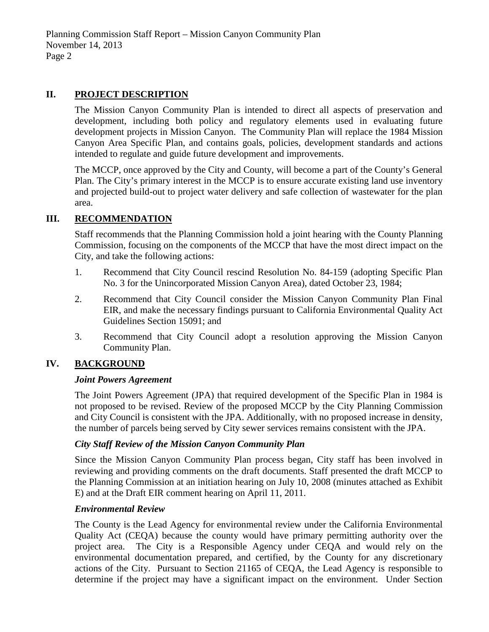# **II. PROJECT DESCRIPTION**

The Mission Canyon Community Plan is intended to direct all aspects of preservation and development, including both policy and regulatory elements used in evaluating future development projects in Mission Canyon. The Community Plan will replace the 1984 Mission Canyon Area Specific Plan, and contains goals, policies, development standards and actions intended to regulate and guide future development and improvements.

The MCCP, once approved by the City and County, will become a part of the County's General Plan. The City's primary interest in the MCCP is to ensure accurate existing land use inventory and projected build-out to project water delivery and safe collection of wastewater for the plan area.

# **III. RECOMMENDATION**

Staff recommends that the Planning Commission hold a joint hearing with the County Planning Commission, focusing on the components of the MCCP that have the most direct impact on the City, and take the following actions:

- 1. Recommend that City Council rescind Resolution No. 84-159 (adopting Specific Plan No. 3 for the Unincorporated Mission Canyon Area), dated October 23, 1984;
- 2. Recommend that City Council consider the Mission Canyon Community Plan Final EIR, and make the necessary findings pursuant to California Environmental Quality Act Guidelines Section 15091; and
- 3. Recommend that City Council adopt a resolution approving the Mission Canyon Community Plan.

# **IV. BACKGROUND**

### *Joint Powers Agreement*

The Joint Powers Agreement (JPA) that required development of the Specific Plan in 1984 is not proposed to be revised. Review of the proposed MCCP by the City Planning Commission and City Council is consistent with the JPA. Additionally, with no proposed increase in density, the number of parcels being served by City sewer services remains consistent with the JPA.

# *City Staff Review of the Mission Canyon Community Plan*

Since the Mission Canyon Community Plan process began, City staff has been involved in reviewing and providing comments on the draft documents. Staff presented the draft MCCP to the Planning Commission at an initiation hearing on July 10, 2008 (minutes attached as Exhibit E) and at the Draft EIR comment hearing on April 11, 2011.

### *Environmental Review*

The County is the Lead Agency for environmental review under the California Environmental Quality Act (CEQA) because the county would have primary permitting authority over the project area. The City is a Responsible Agency under CEQA and would rely on the environmental documentation prepared, and certified, by the County for any discretionary actions of the City. Pursuant to Section 21165 of CEQA, the Lead Agency is responsible to determine if the project may have a significant impact on the environment. Under Section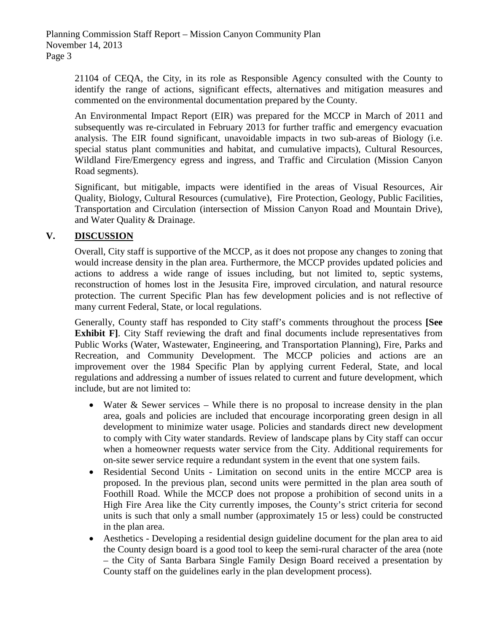21104 of CEQA, the City, in its role as Responsible Agency consulted with the County to identify the range of actions, significant effects, alternatives and mitigation measures and commented on the environmental documentation prepared by the County.

An Environmental Impact Report (EIR) was prepared for the MCCP in March of 2011 and subsequently was re-circulated in February 2013 for further traffic and emergency evacuation analysis. The EIR found significant, unavoidable impacts in two sub-areas of Biology (i.e. special status plant communities and habitat, and cumulative impacts), Cultural Resources, Wildland Fire/Emergency egress and ingress, and Traffic and Circulation (Mission Canyon Road segments).

Significant, but mitigable, impacts were identified in the areas of Visual Resources, Air Quality, Biology, Cultural Resources (cumulative), Fire Protection, Geology, Public Facilities, Transportation and Circulation (intersection of Mission Canyon Road and Mountain Drive), and Water Quality & Drainage.

# **V. DISCUSSION**

Overall, City staff is supportive of the MCCP, as it does not propose any changes to zoning that would increase density in the plan area. Furthermore, the MCCP provides updated policies and actions to address a wide range of issues including, but not limited to, septic systems, reconstruction of homes lost in the Jesusita Fire, improved circulation, and natural resource protection. The current Specific Plan has few development policies and is not reflective of many current Federal, State, or local regulations.

Generally, County staff has responded to City staff's comments throughout the process **[See Exhibit F**. City Staff reviewing the draft and final documents include representatives from Public Works (Water, Wastewater, Engineering, and Transportation Planning), Fire, Parks and Recreation, and Community Development. The MCCP policies and actions are an improvement over the 1984 Specific Plan by applying current Federal, State, and local regulations and addressing a number of issues related to current and future development, which include, but are not limited to:

- Water & Sewer services While there is no proposal to increase density in the plan area, goals and policies are included that encourage incorporating green design in all development to minimize water usage. Policies and standards direct new development to comply with City water standards. Review of landscape plans by City staff can occur when a homeowner requests water service from the City. Additional requirements for on-site sewer service require a redundant system in the event that one system fails.
- Residential Second Units Limitation on second units in the entire MCCP area is proposed. In the previous plan, second units were permitted in the plan area south of Foothill Road. While the MCCP does not propose a prohibition of second units in a High Fire Area like the City currently imposes, the County's strict criteria for second units is such that only a small number (approximately 15 or less) could be constructed in the plan area.
- Aesthetics Developing a residential design guideline document for the plan area to aid the County design board is a good tool to keep the semi-rural character of the area (note – the City of Santa Barbara Single Family Design Board received a presentation by County staff on the guidelines early in the plan development process).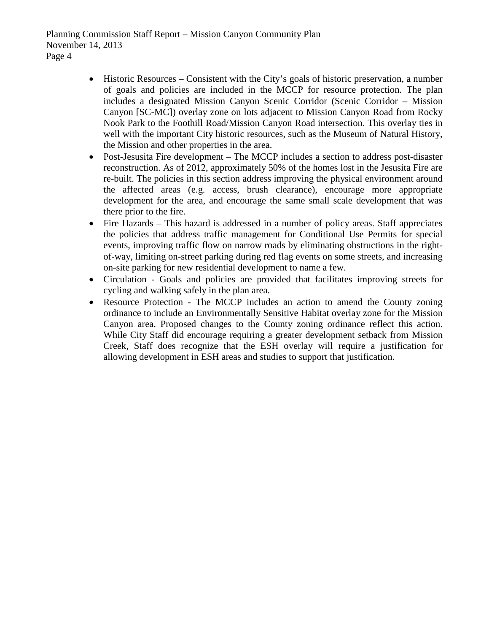Planning Commission Staff Report – Mission Canyon Community Plan November 14, 2013 Page 4

- Historic Resources Consistent with the City's goals of historic preservation, a number of goals and policies are included in the MCCP for resource protection. The plan includes a designated Mission Canyon Scenic Corridor (Scenic Corridor – Mission Canyon [SC-MC]) overlay zone on lots adjacent to Mission Canyon Road from Rocky Nook Park to the Foothill Road/Mission Canyon Road intersection. This overlay ties in well with the important City historic resources, such as the Museum of Natural History, the Mission and other properties in the area.
- Post-Jesusita Fire development The MCCP includes a section to address post-disaster reconstruction. As of 2012, approximately 50% of the homes lost in the Jesusita Fire are re-built. The policies in this section address improving the physical environment around the affected areas (e.g. access, brush clearance), encourage more appropriate development for the area, and encourage the same small scale development that was there prior to the fire.
- Fire Hazards This hazard is addressed in a number of policy areas. Staff appreciates the policies that address traffic management for Conditional Use Permits for special events, improving traffic flow on narrow roads by eliminating obstructions in the rightof-way, limiting on-street parking during red flag events on some streets, and increasing on-site parking for new residential development to name a few.
- Circulation Goals and policies are provided that facilitates improving streets for cycling and walking safely in the plan area.
- Resource Protection The MCCP includes an action to amend the County zoning ordinance to include an Environmentally Sensitive Habitat overlay zone for the Mission Canyon area. Proposed changes to the County zoning ordinance reflect this action. While City Staff did encourage requiring a greater development setback from Mission Creek, Staff does recognize that the ESH overlay will require a justification for allowing development in ESH areas and studies to support that justification.